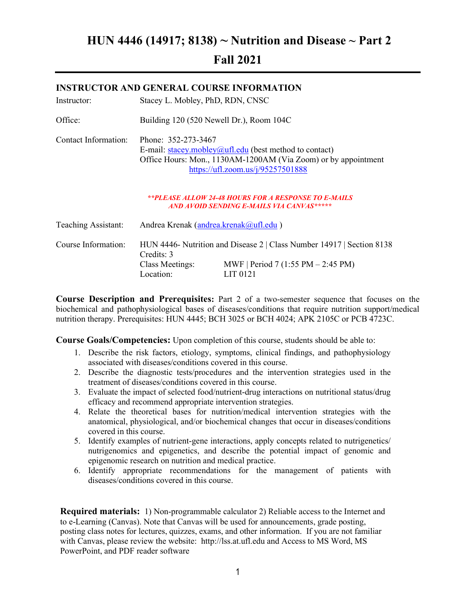# HUN 4446 (14917; 8138) ~ Nutrition and Disease ~ Part 2 Fall 2021

# Instructor: Stacey L. Mobley, PhD, RDN, CNSC Office: Building 120 (520 Newell Dr.), Room 104C Contact Information: Phone: 352-273-3467 E-mail: stacey.mobley@ufl.edu (best method to contact) Office Hours: Mon., 1130AM-1200AM (Via Zoom) or by appointment https://ufl.zoom.us/j/95257501888 \*\*PLEASE ALLOW 24-48 HOURS FOR A RESPONSE TO E-MAILS AND AVOID SENDING E-MAILS VIA CANVAS\*\*\*\*\* Teaching Assistant: Andrea Krenak (andrea.krenak @ufl.edu) Course Information: HUN 4446- Nutrition and Disease 2 | Class Number 14917 | Section 8138 Credits: 3 Class Meetings: MWF | Period 7 (1:55 PM – 2:45 PM) Location: LIT 0121

INSTRUCTOR AND GENERAL COURSE INFORMATION

Course Description and Prerequisites: Part 2 of a two-semester sequence that focuses on the biochemical and pathophysiological bases of diseases/conditions that require nutrition support/medical nutrition therapy. Prerequisites: HUN 4445; BCH 3025 or BCH 4024; APK 2105C or PCB 4723C.

Course Goals/Competencies: Upon completion of this course, students should be able to:

- 1. Describe the risk factors, etiology, symptoms, clinical findings, and pathophysiology associated with diseases/conditions covered in this course.
- 2. Describe the diagnostic tests/procedures and the intervention strategies used in the treatment of diseases/conditions covered in this course.
- 3. Evaluate the impact of selected food/nutrient-drug interactions on nutritional status/drug efficacy and recommend appropriate intervention strategies.
- 4. Relate the theoretical bases for nutrition/medical intervention strategies with the anatomical, physiological, and/or biochemical changes that occur in diseases/conditions covered in this course.
- 5. Identify examples of nutrient-gene interactions, apply concepts related to nutrigenetics/ nutrigenomics and epigenetics, and describe the potential impact of genomic and epigenomic research on nutrition and medical practice.
- 6. Identify appropriate recommendations for the management of patients with diseases/conditions covered in this course.

Required materials: 1) Non-programmable calculator 2) Reliable access to the Internet and to e-Learning (Canvas). Note that Canvas will be used for announcements, grade posting, posting class notes for lectures, quizzes, exams, and other information. If you are not familiar with Canvas, please review the website: http://lss.at.ufl.edu and Access to MS Word, MS PowerPoint, and PDF reader software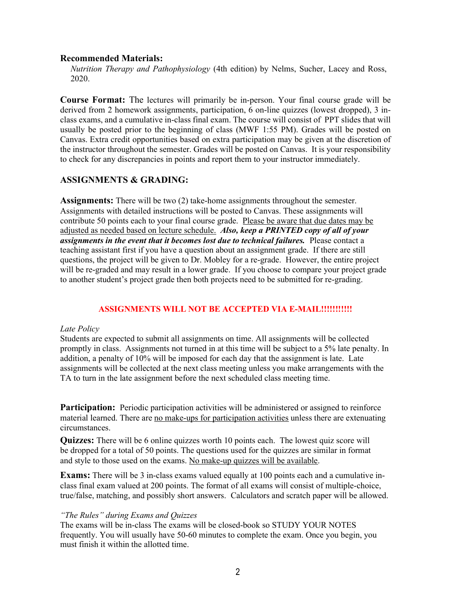### Recommended Materials:

Nutrition Therapy and Pathophysiology (4th edition) by Nelms, Sucher, Lacey and Ross, 2020.

Course Format: The lectures will primarily be in-person. Your final course grade will be derived from 2 homework assignments, participation, 6 on-line quizzes (lowest dropped), 3 inclass exams, and a cumulative in-class final exam. The course will consist of PPT slides that will usually be posted prior to the beginning of class (MWF 1:55 PM). Grades will be posted on Canvas. Extra credit opportunities based on extra participation may be given at the discretion of the instructor throughout the semester. Grades will be posted on Canvas. It is your responsibility to check for any discrepancies in points and report them to your instructor immediately.

## ASSIGNMENTS & GRADING:

Assignments: There will be two (2) take-home assignments throughout the semester. Assignments with detailed instructions will be posted to Canvas. These assignments will contribute 50 points each to your final course grade. Please be aware that due dates may be adjusted as needed based on lecture schedule. Also, keep a PRINTED copy of all of your assignments in the event that it becomes lost due to technical failures. Please contact a teaching assistant first if you have a question about an assignment grade. If there are still questions, the project will be given to Dr. Mobley for a re-grade. However, the entire project will be re-graded and may result in a lower grade. If you choose to compare your project grade to another student's project grade then both projects need to be submitted for re-grading.

#### ASSIGNMENTS WILL NOT BE ACCEPTED VIA E-MAIL!!!!!!!!!!!

#### Late Policy

Students are expected to submit all assignments on time. All assignments will be collected promptly in class. Assignments not turned in at this time will be subject to a 5% late penalty. In addition, a penalty of 10% will be imposed for each day that the assignment is late. Late assignments will be collected at the next class meeting unless you make arrangements with the TA to turn in the late assignment before the next scheduled class meeting time.

**Participation:** Periodic participation activities will be administered or assigned to reinforce material learned. There are no make-ups for participation activities unless there are extenuating circumstances.

Quizzes: There will be 6 online quizzes worth 10 points each. The lowest quiz score will be dropped for a total of 50 points. The questions used for the quizzes are similar in format and style to those used on the exams. No make-up quizzes will be available.

Exams: There will be 3 in-class exams valued equally at 100 points each and a cumulative inclass final exam valued at 200 points. The format of all exams will consist of multiple-choice, true/false, matching, and possibly short answers. Calculators and scratch paper will be allowed.

#### "The Rules" during Exams and Quizzes

The exams will be in-class The exams will be closed-book so STUDY YOUR NOTES frequently. You will usually have 50-60 minutes to complete the exam. Once you begin, you must finish it within the allotted time.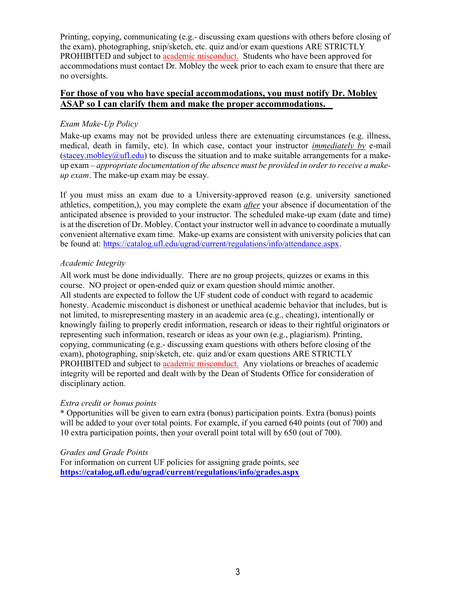Printing, copying, communicating (e.g.- discussing exam questions with others before closing of the exam), photographing, snip/sketch, etc. quiz and/or exam questions ARE STRICTLY PROHIBITED and subject to academic misconduct. Students who have been approved for accommodations must contact Dr. Mobley the week prior to each exam to ensure that there are no oversights.

## For those of you who have special accommodations, you must notify Dr. Mobley ASAP so I can clarify them and make the proper accommodations.

## Exam Make-Up Policy

Make-up exams may not be provided unless there are extenuating circumstances (e.g. illness, medical, death in family, etc). In which case, contact your instructor *immediately by e-mail*  $(s \text{tacey.mobley@ufl.edu})$  to discuss the situation and to make suitable arrangements for a makeup  $exam - appropriate documentation of the absence must be provided in order to receive a make$ up exam. The make-up exam may be essay.

If you must miss an exam due to a University-approved reason (e.g. university sanctioned athletics, competition,), you may complete the exam *after* your absence if documentation of the anticipated absence is provided to your instructor. The scheduled make-up exam (date and time) is at the discretion of Dr. Mobley. Contact your instructor well in advance to coordinate a mutually convenient alternative exam time. Make-up exams are consistent with university policies that can be found at: https://catalog.ufl.edu/ugrad/current/regulations/info/attendance.aspx.

## Academic Integrity

All work must be done individually. There are no group projects, quizzes or exams in this course. NO project or open-ended quiz or exam question should mimic another. All students are expected to follow the UF student code of conduct with regard to academic honesty. Academic misconduct is dishonest or unethical academic behavior that includes, but is not limited, to misrepresenting mastery in an academic area (e.g., cheating), intentionally or knowingly failing to properly credit information, research or ideas to their rightful originators or representing such information, research or ideas as your own (e.g., plagiarism). Printing, copying, communicating (e.g.- discussing exam questions with others before closing of the exam), photographing, snip/sketch, etc. quiz and/or exam questions ARE STRICTLY PROHIBITED and subject to academic misconduct. Any violations or breaches of academic integrity will be reported and dealt with by the Dean of Students Office for consideration of disciplinary action.

## Extra credit or bonus points

\* Opportunities will be given to earn extra (bonus) participation points. Extra (bonus) points will be added to your over total points. For example, if you earned 640 points (out of 700) and 10 extra participation points, then your overall point total will by 650 (out of 700).

## Grades and Grade Points

For information on current UF policies for assigning grade points, see https://catalog.ufl.edu/ugrad/current/regulations/info/grades.aspx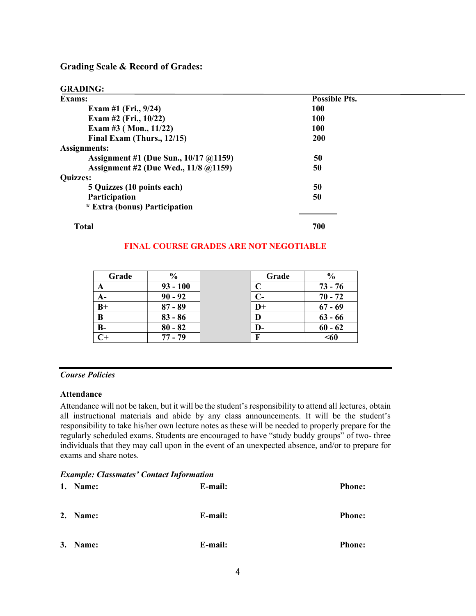Grading Scale & Record of Grades:

GRADING:

| Exams:                                | <b>Possible Pts.</b> |  |
|---------------------------------------|----------------------|--|
| Exam #1 (Fri., $9/24$ )               | <b>100</b>           |  |
| Exam #2 (Fri., $10/22$ )              | <b>100</b>           |  |
| Exam #3 (Mon., $11/22$ )              | 100                  |  |
| Final Exam (Thurs., $12/15$ )         | 200                  |  |
| Assignments:                          |                      |  |
| Assignment #1 (Due Sun., 10/17 @1159) | 50                   |  |
| Assignment #2 (Due Wed., 11/8 @1159)  | 50                   |  |
| <b>Quizzes:</b>                       |                      |  |
| 5 Quizzes (10 points each)            | 50                   |  |
| Participation                         | 50                   |  |
| * Extra (bonus) Participation         |                      |  |
| <b>Total</b>                          | 700                  |  |

## FINAL COURSE GRADES ARE NOT NEGOTIABLE

| Grade | $\frac{0}{0}$ | Grade          | $\frac{0}{0}$ |
|-------|---------------|----------------|---------------|
| A     | $93 - 100$    |                | $73 - 76$     |
| $A-$  | $90 - 92$     |                | $70 - 72$     |
| $B+$  | $87 - 89$     | $\mathbf{D}^+$ | $67 - 69$     |
| B     | $83 - 86$     | D              | $63 - 66$     |
| $B-$  | $80 - 82$     | D-             | $60 - 62$     |
|       | $77 - 79$     | F              | $60$          |

## Course Policies

#### Attendance

Attendance will not be taken, but it will be the student's responsibility to attend all lectures, obtain all instructional materials and abide by any class announcements. It will be the student's responsibility to take his/her own lecture notes as these will be needed to properly prepare for the regularly scheduled exams. Students are encouraged to have "study buddy groups" of two- three individuals that they may call upon in the event of an unexpected absence, and/or to prepare for exams and share notes.

## Example: Classmates' Contact Information

| 1. Name: | E-mail: | <b>Phone:</b> |
|----------|---------|---------------|
| 2. Name: | E-mail: | <b>Phone:</b> |
| 3. Name: | E-mail: | <b>Phone:</b> |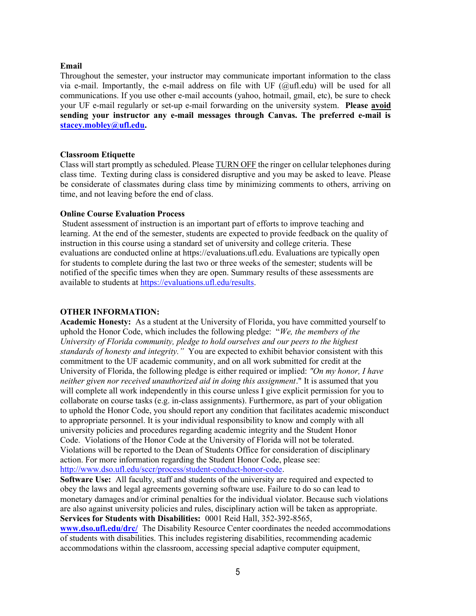#### Email

Throughout the semester, your instructor may communicate important information to the class via e-mail. Importantly, the e-mail address on file with UF  $(Qu$ fl.edu) will be used for all communications. If you use other e-mail accounts (yahoo, hotmail, gmail, etc), be sure to check your UF e-mail regularly or set-up e-mail forwarding on the university system. Please avoid sending your instructor any e-mail messages through Canvas. The preferred e-mail is stacey.mobley@ufl.edu.

#### Classroom Etiquette

Class will start promptly as scheduled. Please TURN OFF the ringer on cellular telephones during class time. Texting during class is considered disruptive and you may be asked to leave. Please be considerate of classmates during class time by minimizing comments to others, arriving on time, and not leaving before the end of class.

### Online Course Evaluation Process

Student assessment of instruction is an important part of efforts to improve teaching and learning. At the end of the semester, students are expected to provide feedback on the quality of instruction in this course using a standard set of university and college criteria. These evaluations are conducted online at https://evaluations.ufl.edu. Evaluations are typically open for students to complete during the last two or three weeks of the semester; students will be notified of the specific times when they are open. Summary results of these assessments are available to students at https://evaluations.ufl.edu/results.

## OTHER INFORMATION:

Academic Honesty: As a student at the University of Florida, you have committed yourself to uphold the Honor Code, which includes the following pledge: "We, the members of the University of Florida community, pledge to hold ourselves and our peers to the highest standards of honesty and integrity." You are expected to exhibit behavior consistent with this commitment to the UF academic community, and on all work submitted for credit at the University of Florida, the following pledge is either required or implied: "On my honor, I have neither given nor received unauthorized aid in doing this assignment." It is assumed that you will complete all work independently in this course unless I give explicit permission for you to collaborate on course tasks (e.g. in-class assignments). Furthermore, as part of your obligation to uphold the Honor Code, you should report any condition that facilitates academic misconduct to appropriate personnel. It is your individual responsibility to know and comply with all university policies and procedures regarding academic integrity and the Student Honor Code. Violations of the Honor Code at the University of Florida will not be tolerated. Violations will be reported to the Dean of Students Office for consideration of disciplinary action. For more information regarding the Student Honor Code, please see: http://www.dso.ufl.edu/sccr/process/student-conduct-honor-code.

Software Use: All faculty, staff and students of the university are required and expected to obey the laws and legal agreements governing software use. Failure to do so can lead to monetary damages and/or criminal penalties for the individual violator. Because such violations are also against university policies and rules, disciplinary action will be taken as appropriate. Services for Students with Disabilities: 0001 Reid Hall, 352-392-8565,

www.dso.ufl.edu/drc/ The Disability Resource Center coordinates the needed accommodations of students with disabilities. This includes registering disabilities, recommending academic accommodations within the classroom, accessing special adaptive computer equipment,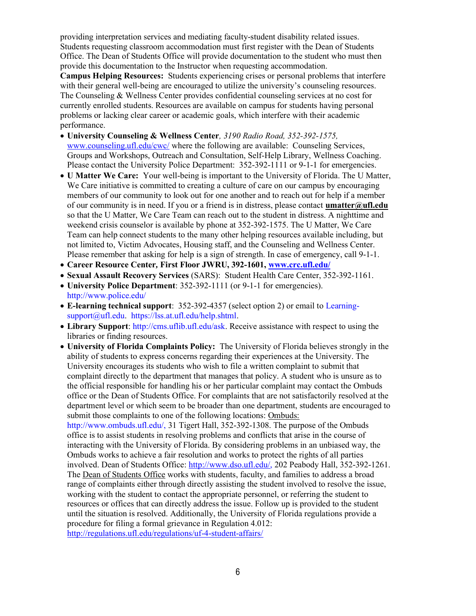providing interpretation services and mediating faculty-student disability related issues. Students requesting classroom accommodation must first register with the Dean of Students Office. The Dean of Students Office will provide documentation to the student who must then provide this documentation to the Instructor when requesting accommodation.

Campus Helping Resources: Students experiencing crises or personal problems that interfere with their general well-being are encouraged to utilize the university's counseling resources. The Counseling & Wellness Center provides confidential counseling services at no cost for currently enrolled students. Resources are available on campus for students having personal problems or lacking clear career or academic goals, which interfere with their academic performance.

- University Counseling & Wellness Center, 3190 Radio Road, 352-392-1575, www.counseling.ufl.edu/cwc/ where the following are available: Counseling Services, Groups and Workshops, Outreach and Consultation, Self-Help Library, Wellness Coaching. Please contact the University Police Department: 352-392-1111 or 9-1-1 for emergencies.
- U Matter We Care: Your well-being is important to the University of Florida. The U Matter, We Care initiative is committed to creating a culture of care on our campus by encouraging members of our community to look out for one another and to reach out for help if a member of our community is in need. If you or a friend is in distress, please contact umatter@ufl.edu so that the U Matter, We Care Team can reach out to the student in distress. A nighttime and weekend crisis counselor is available by phone at 352-392-1575. The U Matter, We Care Team can help connect students to the many other helping resources available including, but not limited to, Victim Advocates, Housing staff, and the Counseling and Wellness Center. Please remember that asking for help is a sign of strength. In case of emergency, call 9-1-1.
- Career Resource Center, First Floor JWRU, 392-1601, www.crc.ufl.edu/
- Sexual Assault Recovery Services (SARS): Student Health Care Center, 352-392-1161.
- University Police Department: 352-392-1111 (or 9-1-1 for emergencies). http://www.police.edu/
- E-learning technical support: 352-392-4357 (select option 2) or email to Learningsupport@ufl.edu. https://lss.at.ufl.edu/help.shtml.
- Library Support: http://cms.uflib.ufl.edu/ask. Receive assistance with respect to using the libraries or finding resources.
- University of Florida Complaints Policy: The University of Florida believes strongly in the ability of students to express concerns regarding their experiences at the University. The University encourages its students who wish to file a written complaint to submit that complaint directly to the department that manages that policy. A student who is unsure as to the official responsible for handling his or her particular complaint may contact the Ombuds office or the Dean of Students Office. For complaints that are not satisfactorily resolved at the department level or which seem to be broader than one department, students are encouraged to submit those complaints to one of the following locations: Ombuds:

http://www.ombuds.ufl.edu/, 31 Tigert Hall, 352-392-1308. The purpose of the Ombuds office is to assist students in resolving problems and conflicts that arise in the course of interacting with the University of Florida. By considering problems in an unbiased way, the Ombuds works to achieve a fair resolution and works to protect the rights of all parties involved. Dean of Students Office: http://www.dso.ufl.edu/, 202 Peabody Hall, 352-392-1261. The Dean of Students Office works with students, faculty, and families to address a broad range of complaints either through directly assisting the student involved to resolve the issue, working with the student to contact the appropriate personnel, or referring the student to resources or offices that can directly address the issue. Follow up is provided to the student until the situation is resolved. Additionally, the University of Florida regulations provide a procedure for filing a formal grievance in Regulation 4.012: http://regulations.ufl.edu/regulations/uf-4-student-affairs/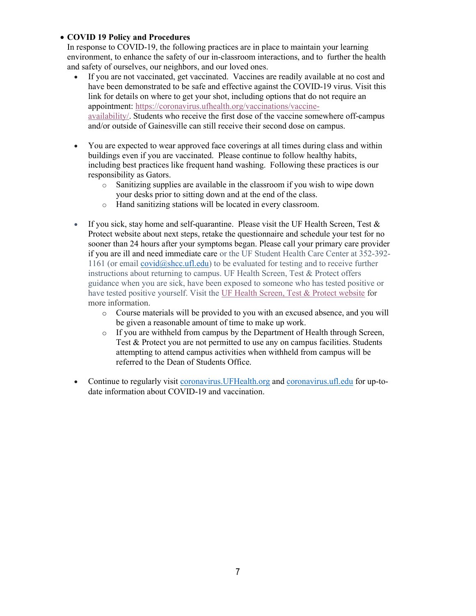## COVID 19 Policy and Procedures

In response to COVID-19, the following practices are in place to maintain your learning environment, to enhance the safety of our in-classroom interactions, and to further the health and safety of ourselves, our neighbors, and our loved ones.

- If you are not vaccinated, get vaccinated. Vaccines are readily available at no cost and have been demonstrated to be safe and effective against the COVID-19 virus. Visit this link for details on where to get your shot, including options that do not require an appointment: https://coronavirus.ufhealth.org/vaccinations/vaccineavailability/. Students who receive the first dose of the vaccine somewhere off-campus and/or outside of Gainesville can still receive their second dose on campus.
- You are expected to wear approved face coverings at all times during class and within buildings even if you are vaccinated. Please continue to follow healthy habits, including best practices like frequent hand washing. Following these practices is our responsibility as Gators.
	- Sanitizing supplies are available in the classroom if you wish to wipe down your desks prior to sitting down and at the end of the class.
	- o Hand sanitizing stations will be located in every classroom.
- If you sick, stay home and self-quarantine. Please visit the UF Health Screen, Test  $\&$ Protect website about next steps, retake the questionnaire and schedule your test for no sooner than 24 hours after your symptoms began. Please call your primary care provider if you are ill and need immediate care or the UF Student Health Care Center at 352-392- 1161 (or email covid@shcc.ufl.edu) to be evaluated for testing and to receive further instructions about returning to campus. UF Health Screen, Test & Protect offers guidance when you are sick, have been exposed to someone who has tested positive or have tested positive yourself. Visit the UF Health Screen, Test & Protect website for more information.
	- o Course materials will be provided to you with an excused absence, and you will be given a reasonable amount of time to make up work.
	- o If you are withheld from campus by the Department of Health through Screen, Test & Protect you are not permitted to use any on campus facilities. Students attempting to attend campus activities when withheld from campus will be referred to the Dean of Students Office.
- Continue to regularly visit coronavirus.UFHealth.org and coronavirus.ufl.edu for up-todate information about COVID-19 and vaccination.